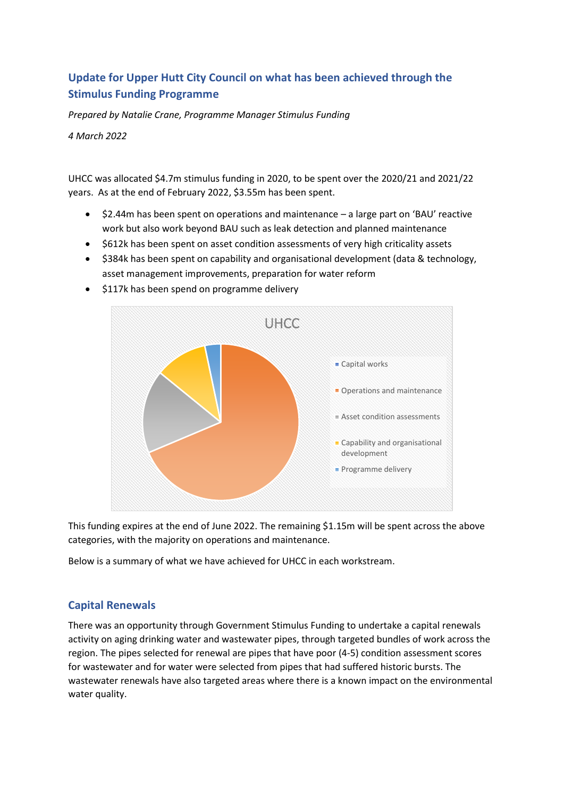# **Update for Upper Hutt City Council on what has been achieved through the Stimulus Funding Programme**

*Prepared by Natalie Crane, Programme Manager Stimulus Funding*

*4 March 2022*

UHCC was allocated \$4.7m stimulus funding in 2020, to be spent over the 2020/21 and 2021/22 years. As at the end of February 2022, \$3.55m has been spent.

- \$2.44m has been spent on operations and maintenance a large part on 'BAU' reactive work but also work beyond BAU such as leak detection and planned maintenance
- \$612k has been spent on asset condition assessments of very high criticality assets
- \$384k has been spent on capability and organisational development (data & technology, asset management improvements, preparation for water reform



• \$117k has been spend on programme delivery

This funding expires at the end of June 2022. The remaining \$1.15m will be spent across the above categories, with the majority on operations and maintenance.

Below is a summary of what we have achieved for UHCC in each workstream.

### **Capital Renewals**

There was an opportunity through Government Stimulus Funding to undertake a capital renewals activity on aging drinking water and wastewater pipes, through targeted bundles of work across the region. The pipes selected for renewal are pipes that have poor (4-5) condition assessment scores for wastewater and for water were selected from pipes that had suffered historic bursts. The wastewater renewals have also targeted areas where there is a known impact on the environmental water quality.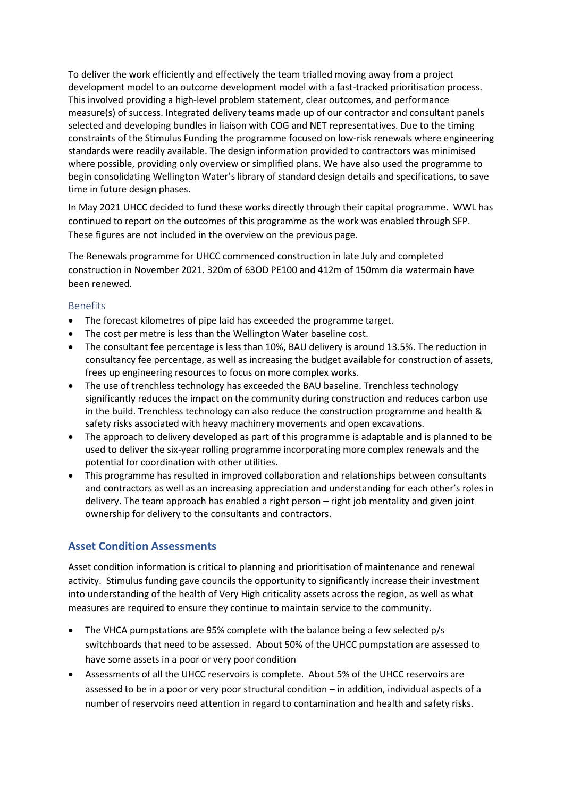To deliver the work efficiently and effectively the team trialled moving away from a project development model to an outcome development model with a fast-tracked prioritisation process. This involved providing a high-level problem statement, clear outcomes, and performance measure(s) of success. Integrated delivery teams made up of our contractor and consultant panels selected and developing bundles in liaison with COG and NET representatives. Due to the timing constraints of the Stimulus Funding the programme focused on low-risk renewals where engineering standards were readily available. The design information provided to contractors was minimised where possible, providing only overview or simplified plans. We have also used the programme to begin consolidating Wellington Water's library of standard design details and specifications, to save time in future design phases.

In May 2021 UHCC decided to fund these works directly through their capital programme. WWL has continued to report on the outcomes of this programme as the work was enabled through SFP. These figures are not included in the overview on the previous page.

The Renewals programme for UHCC commenced construction in late July and completed construction in November 2021. 320m of 63OD PE100 and 412m of 150mm dia watermain have been renewed.

#### Benefits

- The forecast kilometres of pipe laid has exceeded the programme target.
- The cost per metre is less than the Wellington Water baseline cost.
- The consultant fee percentage is less than 10%, BAU delivery is around 13.5%. The reduction in consultancy fee percentage, as well as increasing the budget available for construction of assets, frees up engineering resources to focus on more complex works.
- The use of trenchless technology has exceeded the BAU baseline. Trenchless technology significantly reduces the impact on the community during construction and reduces carbon use in the build. Trenchless technology can also reduce the construction programme and health & safety risks associated with heavy machinery movements and open excavations.
- The approach to delivery developed as part of this programme is adaptable and is planned to be used to deliver the six-year rolling programme incorporating more complex renewals and the potential for coordination with other utilities.
- This programme has resulted in improved collaboration and relationships between consultants and contractors as well as an increasing appreciation and understanding for each other's roles in delivery. The team approach has enabled a right person – right job mentality and given joint ownership for delivery to the consultants and contractors.

### **Asset Condition Assessments**

Asset condition information is critical to planning and prioritisation of maintenance and renewal activity. Stimulus funding gave councils the opportunity to significantly increase their investment into understanding of the health of Very High criticality assets across the region, as well as what measures are required to ensure they continue to maintain service to the community.

- The VHCA pumpstations are 95% complete with the balance being a few selected p/s switchboards that need to be assessed. About 50% of the UHCC pumpstation are assessed to have some assets in a poor or very poor condition
- Assessments of all the UHCC reservoirs is complete. About 5% of the UHCC reservoirs are assessed to be in a poor or very poor structural condition – in addition, individual aspects of a number of reservoirs need attention in regard to contamination and health and safety risks.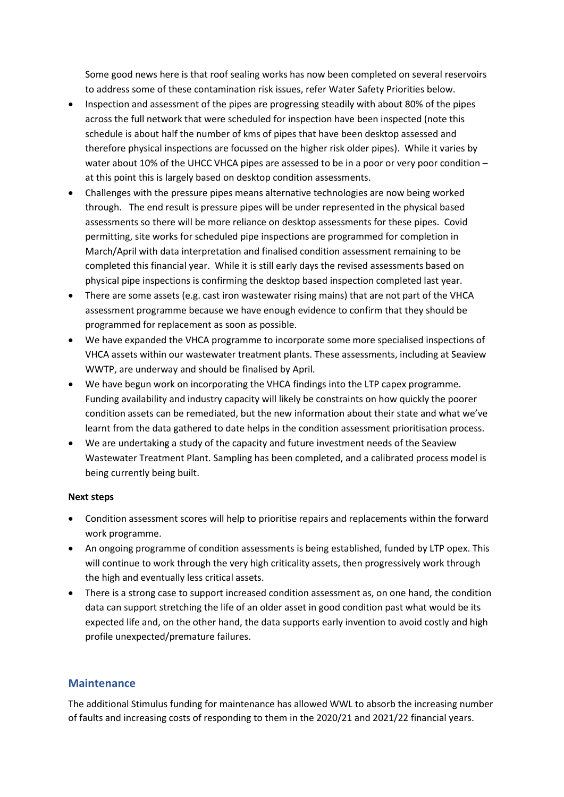Some good news here is that roof sealing works has now been completed on several reservoirs to address some of these contamination risk issues, refer Water Safety Priorities below.

- Inspection and assessment of the pipes are progressing steadily with about 80% of the pipes across the full network that were scheduled for inspection have been inspected (note this schedule is about half the number of kms of pipes that have been desktop assessed and therefore physical inspections are focussed on the higher risk older pipes). While it varies by water about 10% of the UHCC VHCA pipes are assessed to be in a poor or very poor condition – at this point this is largely based on desktop condition assessments.
- Challenges with the pressure pipes means alternative technologies are now being worked through. The end result is pressure pipes will be under represented in the physical based assessments so there will be more reliance on desktop assessments for these pipes. Covid permitting, site works for scheduled pipe inspections are programmed for completion in March/April with data interpretation and finalised condition assessment remaining to be completed this financial year. While it is still early days the revised assessments based on physical pipe inspections is confirming the desktop based inspection completed last year.
- There are some assets (e.g. cast iron wastewater rising mains) that are not part of the VHCA assessment programme because we have enough evidence to confirm that they should be programmed for replacement as soon as possible.
- We have expanded the VHCA programme to incorporate some more specialised inspections of VHCA assets within our wastewater treatment plants. These assessments, including at Seaview WWTP, are underway and should be finalised by April.
- We have begun work on incorporating the VHCA findings into the LTP capex programme. Funding availability and industry capacity will likely be constraints on how quickly the poorer condition assets can be remediated, but the new information about their state and what we've learnt from the data gathered to date helps in the condition assessment prioritisation process.
- We are undertaking a study of the capacity and future investment needs of the Seaview Wastewater Treatment Plant. Sampling has been completed, and a calibrated process model is being currently being built.

#### **Next steps**

- Condition assessment scores will help to prioritise repairs and replacements within the forward work programme.
- An ongoing programme of condition assessments is being established, funded by LTP opex. This will continue to work through the very high criticality assets, then progressively work through the high and eventually less critical assets.
- There is a strong case to support increased condition assessment as, on one hand, the condition data can support stretching the life of an older asset in good condition past what would be its expected life and, on the other hand, the data supports early invention to avoid costly and high profile unexpected/premature failures.

#### **Maintenance**

The additional Stimulus funding for maintenance has allowed WWL to absorb the increasing number of faults and increasing costs of responding to them in the 2020/21 and 2021/22 financial years.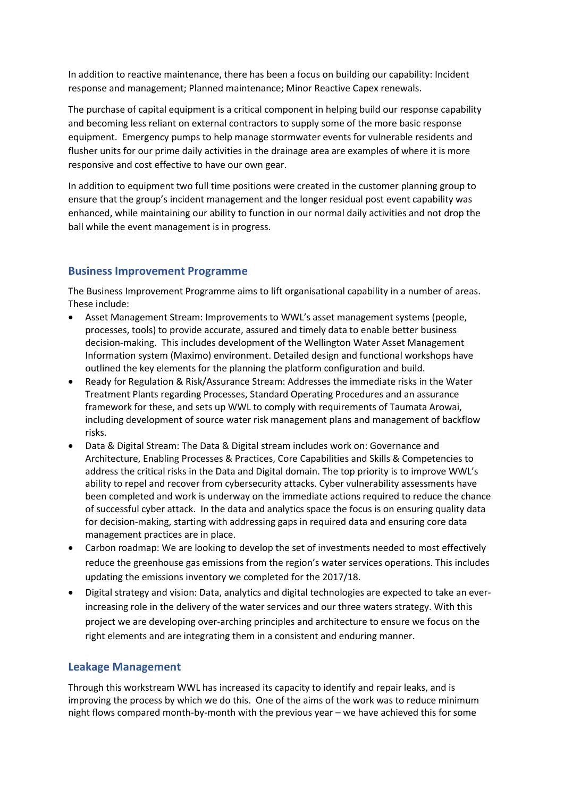In addition to reactive maintenance, there has been a focus on building our capability: Incident response and management; Planned maintenance; Minor Reactive Capex renewals.

The purchase of capital equipment is a critical component in helping build our response capability and becoming less reliant on external contractors to supply some of the more basic response equipment. Emergency pumps to help manage stormwater events for vulnerable residents and flusher units for our prime daily activities in the drainage area are examples of where it is more responsive and cost effective to have our own gear.

In addition to equipment two full time positions were created in the customer planning group to ensure that the group's incident management and the longer residual post event capability was enhanced, while maintaining our ability to function in our normal daily activities and not drop the ball while the event management is in progress.

### **Business Improvement Programme**

The Business Improvement Programme aims to lift organisational capability in a number of areas. These include:

- Asset Management Stream: Improvements to WWL's asset management systems (people, processes, tools) to provide accurate, assured and timely data to enable better business decision-making. This includes development of the Wellington Water Asset Management Information system (Maximo) environment. Detailed design and functional workshops have outlined the key elements for the planning the platform configuration and build.
- Ready for Regulation & Risk/Assurance Stream: Addresses the immediate risks in the Water Treatment Plants regarding Processes, Standard Operating Procedures and an assurance framework for these, and sets up WWL to comply with requirements of Taumata Arowai, including development of source water risk management plans and management of backflow risks.
- Data & Digital Stream: The Data & Digital stream includes work on: Governance and Architecture, Enabling Processes & Practices, Core Capabilities and Skills & Competencies to address the critical risks in the Data and Digital domain. The top priority is to improve WWL's ability to repel and recover from cybersecurity attacks. Cyber vulnerability assessments have been completed and work is underway on the immediate actions required to reduce the chance of successful cyber attack. In the data and analytics space the focus is on ensuring quality data for decision-making, starting with addressing gaps in required data and ensuring core data management practices are in place.
- Carbon roadmap: We are looking to develop the set of investments needed to most effectively reduce the greenhouse gas emissions from the region's water services operations. This includes updating the emissions inventory we completed for the 2017/18.
- Digital strategy and vision: Data, analytics and digital technologies are expected to take an everincreasing role in the delivery of the water services and our three waters strategy. With this project we are developing over-arching principles and architecture to ensure we focus on the right elements and are integrating them in a consistent and enduring manner.

### **Leakage Management**

Through this workstream WWL has increased its capacity to identify and repair leaks, and is improving the process by which we do this. One of the aims of the work was to reduce minimum night flows compared month-by-month with the previous year – we have achieved this for some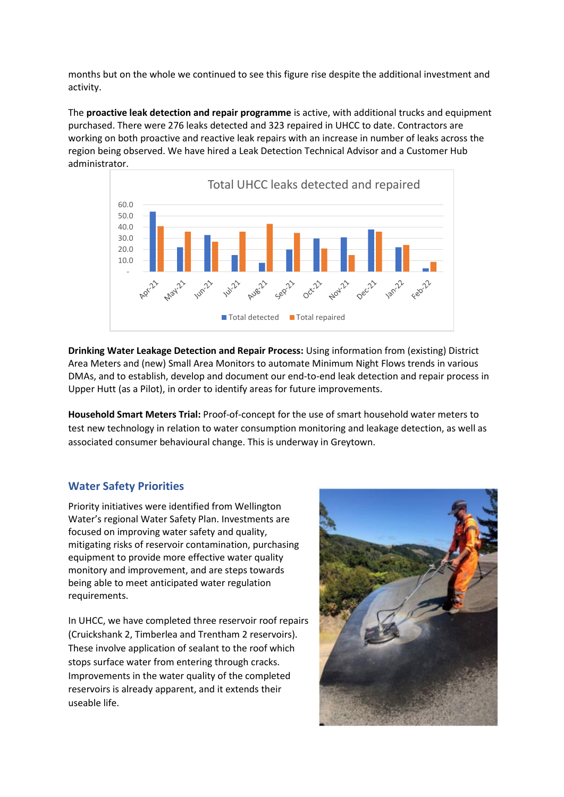months but on the whole we continued to see this figure rise despite the additional investment and activity.

The **proactive leak detection and repair programme** is active, with additional trucks and equipment purchased. There were 276 leaks detected and 323 repaired in UHCC to date. Contractors are working on both proactive and reactive leak repairs with an increase in number of leaks across the region being observed. We have hired a Leak Detection Technical Advisor and a Customer Hub administrator.



**Drinking Water Leakage Detection and Repair Process:** Using information from (existing) District Area Meters and (new) Small Area Monitors to automate Minimum Night Flows trends in various DMAs, and to establish, develop and document our end-to-end leak detection and repair process in Upper Hutt (as a Pilot), in order to identify areas for future improvements.

**Household Smart Meters Trial:** Proof-of-concept for the use of smart household water meters to test new technology in relation to water consumption monitoring and leakage detection, as well as associated consumer behavioural change. This is underway in Greytown.

### **Water Safety Priorities**

Priority initiatives were identified from Wellington Water's regional Water Safety Plan. Investments are focused on improving water safety and quality, mitigating risks of reservoir contamination, purchasing equipment to provide more effective water quality monitory and improvement, and are steps towards being able to meet anticipated water regulation requirements.

In UHCC, we have completed three reservoir roof repairs (Cruickshank 2, Timberlea and Trentham 2 reservoirs). These involve application of sealant to the roof which stops surface water from entering through cracks. Improvements in the water quality of the completed reservoirs is already apparent, and it extends their useable life.